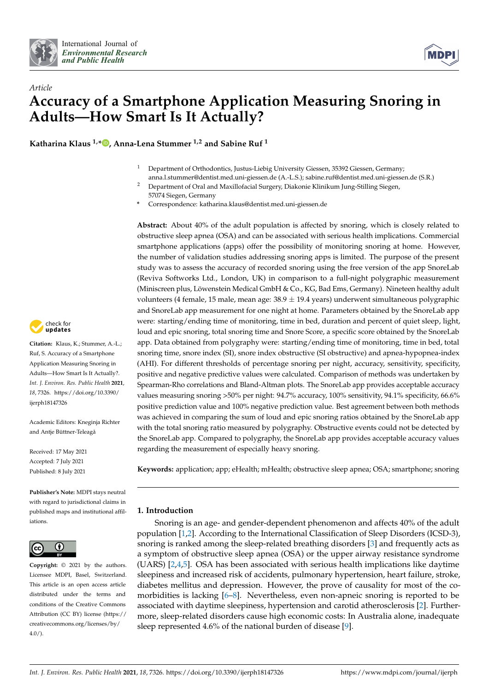



# *Article* **Accuracy of a Smartphone Application Measuring Snoring in Adults—How Smart Is It Actually?**

**Katharina Klaus 1,[\\*](https://orcid.org/0000-0002-4929-9213) , Anna-Lena Stummer 1,2 and Sabine Ruf <sup>1</sup>**

- <sup>1</sup> Department of Orthodontics, Justus-Liebig University Giessen, 35392 Giessen, Germany; anna.l.stummer@dentist.med.uni-giessen.de (A.-L.S.); sabine.ruf@dentist.med.uni-giessen.de (S.R.)
- <sup>2</sup> Department of Oral and Maxillofacial Surgery, Diakonie Klinikum Jung-Stilling Siegen, 57074 Siegen, Germany

**\*** Correspondence: katharina.klaus@dentist.med.uni-giessen.de

**Abstract:** About 40% of the adult population is affected by snoring, which is closely related to obstructive sleep apnea (OSA) and can be associated with serious health implications. Commercial smartphone applications (apps) offer the possibility of monitoring snoring at home. However, the number of validation studies addressing snoring apps is limited. The purpose of the present study was to assess the accuracy of recorded snoring using the free version of the app SnoreLab (Reviva Softworks Ltd., London, UK) in comparison to a full-night polygraphic measurement (Miniscreen plus, Löwenstein Medical GmbH & Co., KG, Bad Ems, Germany). Nineteen healthy adult volunteers (4 female, 15 male, mean age:  $38.9 \pm 19.4$  years) underwent simultaneous polygraphic and SnoreLab app measurement for one night at home. Parameters obtained by the SnoreLab app were: starting/ending time of monitoring, time in bed, duration and percent of quiet sleep, light, loud and epic snoring, total snoring time and Snore Score, a specific score obtained by the SnoreLab app. Data obtained from polygraphy were: starting/ending time of monitoring, time in bed, total snoring time, snore index (SI), snore index obstructive (SI obstructive) and apnea-hypopnea-index (AHI). For different thresholds of percentage snoring per night, accuracy, sensitivity, specificity, positive and negative predictive values were calculated. Comparison of methods was undertaken by Spearman-Rho correlations and Bland-Altman plots. The SnoreLab app provides acceptable accuracy values measuring snoring >50% per night: 94.7% accuracy, 100% sensitivity, 94.1% specificity, 66.6% positive prediction value and 100% negative prediction value. Best agreement between both methods was achieved in comparing the sum of loud and epic snoring ratios obtained by the SnoreLab app with the total snoring ratio measured by polygraphy. Obstructive events could not be detected by the SnoreLab app. Compared to polygraphy, the SnoreLab app provides acceptable accuracy values regarding the measurement of especially heavy snoring.

**Keywords:** application; app; eHealth; mHealth; obstructive sleep apnea; OSA; smartphone; snoring

### **1. Introduction**

Snoring is an age- and gender-dependent phenomenon and affects 40% of the adult population [\[1](#page-8-0)[,2\]](#page-8-1). According to the International Classification of Sleep Disorders (ICSD-3), snoring is ranked among the sleep-related breathing disorders [\[3\]](#page-8-2) and frequently acts as a symptom of obstructive sleep apnea (OSA) or the upper airway resistance syndrome (UARS) [\[2,](#page-8-1)[4,](#page-8-3)[5\]](#page-8-4). OSA has been associated with serious health implications like daytime sleepiness and increased risk of accidents, pulmonary hypertension, heart failure, stroke, diabetes mellitus and depression. However, the prove of causality for most of the comorbidities is lacking [\[6](#page-8-5)[–8\]](#page-8-6). Nevertheless, even non-apneic snoring is reported to be associated with daytime sleepiness, hypertension and carotid atherosclerosis [\[2\]](#page-8-1). Furthermore, sleep-related disorders cause high economic costs: In Australia alone, inadequate sleep represented 4.6% of the national burden of disease [\[9\]](#page-8-7).



**Citation:** Klaus, K.; Stummer, A.-L.; Ruf, S. Accuracy of a Smartphone Application Measuring Snoring in Adults—How Smart Is It Actually?. *Int. J. Environ. Res. Public Health* **2021**, *18*, 7326. [https://doi.org/10.3390/](https://doi.org/10.3390/ijerph18147326) [ijerph18147326](https://doi.org/10.3390/ijerph18147326)

Academic Editors: Kneginja Richter and Antie Büttner-Teleagă

Received: 17 May 2021 Accepted: 7 July 2021 Published: 8 July 2021

**Publisher's Note:** MDPI stays neutral with regard to jurisdictional claims in published maps and institutional affiliations.



**Copyright:** © 2021 by the authors. Licensee MDPI, Basel, Switzerland. This article is an open access article distributed under the terms and conditions of the Creative Commons Attribution (CC BY) license (https:/[/](https://creativecommons.org/licenses/by/4.0/) [creativecommons.org/licenses/by/](https://creativecommons.org/licenses/by/4.0/) 4.0/).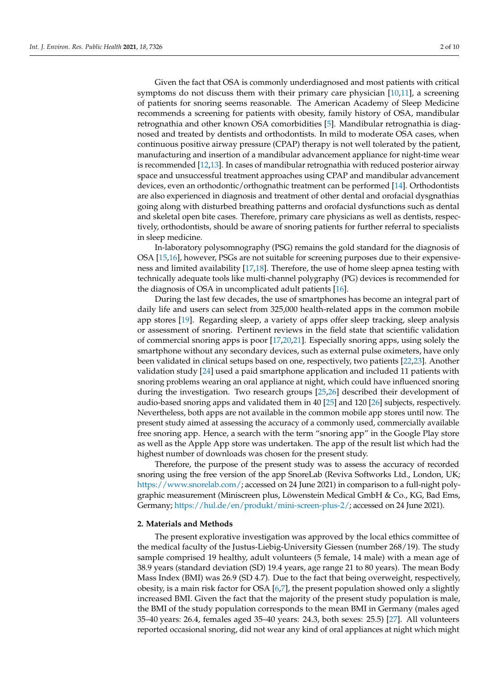Given the fact that OSA is commonly underdiagnosed and most patients with critical symptoms do not discuss them with their primary care physician [\[10,](#page-8-8)[11\]](#page-8-9), a screening of patients for snoring seems reasonable. The American Academy of Sleep Medicine recommends a screening for patients with obesity, family history of OSA, mandibular retrognathia and other known OSA comorbidities [\[5\]](#page-8-4). Mandibular retrognathia is diagnosed and treated by dentists and orthodontists. In mild to moderate OSA cases, when continuous positive airway pressure (CPAP) therapy is not well tolerated by the patient, manufacturing and insertion of a mandibular advancement appliance for night-time wear is recommended [\[12](#page-8-10)[,13\]](#page-8-11). In cases of mandibular retrognathia with reduced posterior airway space and unsuccessful treatment approaches using CPAP and mandibular advancement devices, even an orthodontic/orthognathic treatment can be performed [\[14\]](#page-8-12). Orthodontists are also experienced in diagnosis and treatment of other dental and orofacial dysgnathias going along with disturbed breathing patterns and orofacial dysfunctions such as dental and skeletal open bite cases. Therefore, primary care physicians as well as dentists, respectively, orthodontists, should be aware of snoring patients for further referral to specialists in sleep medicine.

In-laboratory polysomnography (PSG) remains the gold standard for the diagnosis of OSA [\[15](#page-8-13)[,16\]](#page-8-14), however, PSGs are not suitable for screening purposes due to their expensiveness and limited availability [\[17](#page-8-15)[,18\]](#page-8-16). Therefore, the use of home sleep apnea testing with technically adequate tools like multi-channel polygraphy (PG) devices is recommended for the diagnosis of OSA in uncomplicated adult patients [\[16\]](#page-8-14).

During the last few decades, the use of smartphones has become an integral part of daily life and users can select from 325,000 health-related apps in the common mobile app stores [\[19\]](#page-8-17). Regarding sleep, a variety of apps offer sleep tracking, sleep analysis or assessment of snoring. Pertinent reviews in the field state that scientific validation of commercial snoring apps is poor [\[17,](#page-8-15)[20,](#page-8-18)[21\]](#page-8-19). Especially snoring apps, using solely the smartphone without any secondary devices, such as external pulse oximeters, have only been validated in clinical setups based on one, respectively, two patients [\[22](#page-8-20)[,23\]](#page-8-21). Another validation study [\[24\]](#page-8-22) used a paid smartphone application and included 11 patients with snoring problems wearing an oral appliance at night, which could have influenced snoring during the investigation. Two research groups [\[25,](#page-8-23)[26\]](#page-8-24) described their development of audio-based snoring apps and validated them in 40 [\[25\]](#page-8-23) and 120 [\[26\]](#page-8-24) subjects, respectively. Nevertheless, both apps are not available in the common mobile app stores until now. The present study aimed at assessing the accuracy of a commonly used, commercially available free snoring app. Hence, a search with the term "snoring app" in the Google Play store as well as the Apple App store was undertaken. The app of the result list which had the highest number of downloads was chosen for the present study.

Therefore, the purpose of the present study was to assess the accuracy of recorded snoring using the free version of the app SnoreLab (Reviva Softworks Ltd., London, UK; [https://www.snorelab.com/;](https://www.snorelab.com/) accessed on 24 June 2021) in comparison to a full-night polygraphic measurement (Miniscreen plus, Löwenstein Medical GmbH & Co., KG, Bad Ems, Germany; [https://hul.de/en/produkt/mini-screen-plus-2/;](https://hul.de/en/produkt/mini-screen-plus-2/) accessed on 24 June 2021).

### **2. Materials and Methods**

The present explorative investigation was approved by the local ethics committee of the medical faculty of the Justus-Liebig-University Giessen (number 268/19). The study sample comprised 19 healthy, adult volunteers (5 female, 14 male) with a mean age of 38.9 years (standard deviation (SD) 19.4 years, age range 21 to 80 years). The mean Body Mass Index (BMI) was 26.9 (SD 4.7). Due to the fact that being overweight, respectively, obesity, is a main risk factor for OSA [\[6](#page-8-5)[,7\]](#page-8-25), the present population showed only a slightly increased BMI. Given the fact that the majority of the present study population is male, the BMI of the study population corresponds to the mean BMI in Germany (males aged 35–40 years: 26.4, females aged 35–40 years: 24.3, both sexes: 25.5) [\[27\]](#page-8-26). All volunteers reported occasional snoring, did not wear any kind of oral appliances at night which might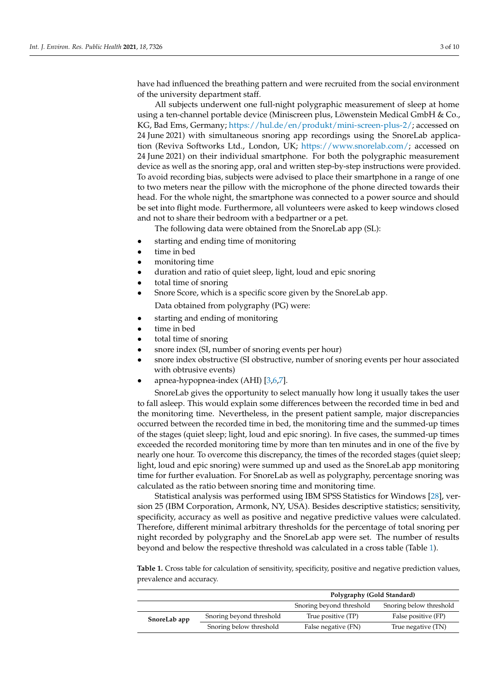have had influenced the breathing pattern and were recruited from the social environment of the university department staff.

All subjects underwent one full-night polygraphic measurement of sleep at home using a ten-channel portable device (Miniscreen plus, Löwenstein Medical GmbH & Co., KG, Bad Ems, Germany; [https://hul.de/en/produkt/mini-screen-plus-2/;](https://hul.de/en/produkt/mini-screen-plus-2/) accessed on 24 June 2021) with simultaneous snoring app recordings using the SnoreLab application (Reviva Softworks Ltd., London, UK; [https://www.snorelab.com/;](https://www.snorelab.com/) accessed on 24 June 2021) on their individual smartphone. For both the polygraphic measurement device as well as the snoring app, oral and written step-by-step instructions were provided. To avoid recording bias, subjects were advised to place their smartphone in a range of one to two meters near the pillow with the microphone of the phone directed towards their head. For the whole night, the smartphone was connected to a power source and should be set into flight mode. Furthermore, all volunteers were asked to keep windows closed and not to share their bedroom with a bedpartner or a pet.

The following data were obtained from the SnoreLab app (SL):

- starting and ending time of monitoring
- time in bed
- monitoring time
- duration and ratio of quiet sleep, light, loud and epic snoring
- total time of snoring
- Snore Score, which is a specific score given by the SnoreLab app. Data obtained from polygraphy (PG) were:
- starting and ending of monitoring
- time in bed
- total time of snoring
- snore index (SI, number of snoring events per hour)
- snore index obstructive (SI obstructive, number of snoring events per hour associated with obtrusive events)
- apnea-hypopnea-index (AHI) [\[3](#page-8-2)[,6,](#page-8-5)[7\]](#page-8-25).

SnoreLab gives the opportunity to select manually how long it usually takes the user to fall asleep. This would explain some differences between the recorded time in bed and the monitoring time. Nevertheless, in the present patient sample, major discrepancies occurred between the recorded time in bed, the monitoring time and the summed-up times of the stages (quiet sleep; light, loud and epic snoring). In five cases, the summed-up times exceeded the recorded monitoring time by more than ten minutes and in one of the five by nearly one hour. To overcome this discrepancy, the times of the recorded stages (quiet sleep; light, loud and epic snoring) were summed up and used as the SnoreLab app monitoring time for further evaluation. For SnoreLab as well as polygraphy, percentage snoring was calculated as the ratio between snoring time and monitoring time.

Statistical analysis was performed using IBM SPSS Statistics for Windows [\[28\]](#page-8-27), version 25 (IBM Corporation, Armonk, NY, USA). Besides descriptive statistics; sensitivity, specificity, accuracy as well as positive and negative predictive values were calculated. Therefore, different minimal arbitrary thresholds for the percentage of total snoring per night recorded by polygraphy and the SnoreLab app were set. The number of results beyond and below the respective threshold was calculated in a cross table (Table [1\)](#page-2-0).

<span id="page-2-0"></span>**Table 1.** Cross table for calculation of sensitivity, specificity, positive and negative prediction values, prevalence and accuracy.

|              |                          | Polygraphy (Gold Standard) |                         |  |
|--------------|--------------------------|----------------------------|-------------------------|--|
|              |                          | Snoring beyond threshold   | Snoring below threshold |  |
| SnoreLab app | Snoring beyond threshold | True positive (TP)         | False positive (FP)     |  |
|              | Snoring below threshold  | False negative (FN)        | True negative (TN)      |  |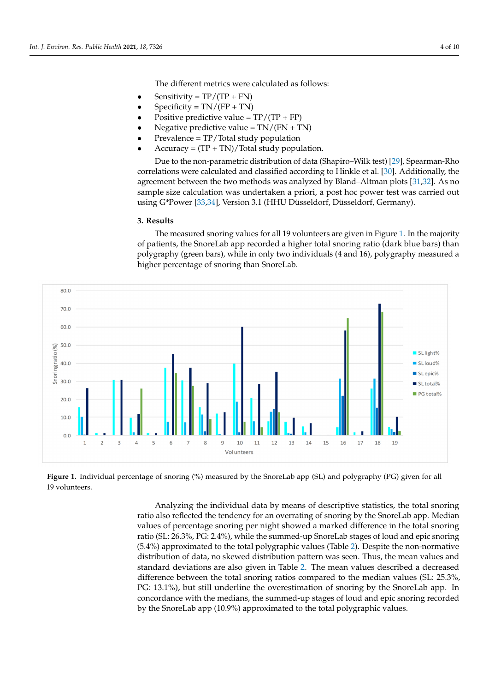The different metrics were calculated as follows: The different metrics were calculated as follows:

- Sensitivity =  $TP/(TP + FN)$
- Sensitivity =  $T/(TT + TN)$ <br>• Specificity =  $TN/(FP + TN)$
- Specificity =  $11 \times (11 + 11 \times)$ <br>• Positive predictive value =  $TP/(TP + FP)$  $\mathcal{F}$  predictive value = T<sub>N</sub>/(T<sub>N</sub> + T<sub>N</sub>)
- Negative predictive value =  $TN/(FN + TN)$
- **Prevalence = TP/Total study population**
- Trevalence = 11 / Total study population.<br>• Accuracy = (TP + TN)/Total study population.  $D_{\text{rel}}$  ( $\Omega$ ,  $\Omega$ ),  $\Omega$  and  $\Omega$  and  $\Omega$  and  $\Omega$

Due to the non-parametric distribution of data (Shapiro–Wilk test) [\[29\]](#page-8-28), Spearman-Rho correlations were calculated and classified according to Hinkle et al. [\[30\]](#page-8-29). Additionally, the agreement between the two methods was analyzed by Bland–Altman plots [\[31](#page-9-0)[,32\]](#page-9-1). As no sample size calculation was undertaken a priori, a post hoc power test was carried out <br>care carried out using G\*Power [33,34], Version 3.1 (G\*Power 1,1 (G\*Power 1,1 (G\*Power). using G\*Power [\[33](#page-9-2)[,34\]](#page-9-3), Version 3.1 (HHU Düsseldorf, Düsseldorf, Germany). Lue to the non-parametric distribution of data (Snapiro–Wilk test) [29]. Spearman-Kno

## **3. Results 3. Results**

The measured snoring values for all 19 volunteers are given in Figure [1.](#page-3-0) In the majority of patients, the SnoreLab app recorded a higher total snoring ratio (dark blue bars) than polygraphy (green bars), while in only two individuals (4 and 16), polygraphy measured a  $h$  higher percentage of snoring than SnoreLab.

<span id="page-3-0"></span>

Figure 1. Individual percentage of snoring (%) measured by the SnoreLab app (SL) and polygraphy (PG) given for all volunteers. 19 volunteers.

Analyzing the individual data by means of descriptive statistics, the total snoring  $\mathcal{A}$ ratio also reflected the tendency for an overrating of snoring by the SnoreLab app. Median ratio also reflected the tendency for an overrating of snoring by the SnoreLab app. Median values of percentage snoring per night showed a marked difference in the total snoring ratio (SL: 26.3%, PG: 2.4%), while the summed-up SnoreLab stages of loud and epic snoring ratio (SL: 26.3%, PG: 2.4%), while the summed-up SnoreLab stages of loud and epic snor-(5.4%) approximated to the total polygraphic values (Table [2\)](#page-4-0). Despite the non-normative ing (5.4%) approximated to the total polygraphic values (Table 2). Despite the non-nor-distribution of data, no skewed distribution pattern was seen. Thus, the mean values and mative distribution of data, no skewed distribution pattern was seen. Thus, the mean val-standard deviations are also given in Table [2.](#page-4-0) The mean values described a decreased difference between the total snoring ratios compared to the median values (SL: 25.3%, creased difference between the total snoring ratios compared to the median values (SL: PG: 13.1%), but still underline the overestimation of snoring by the SnoreLab app. In concordance with the medians, the summed-up stages of loud and epic snoring recorded values of percentage snoring per night showed a marked difference in the total snoring by the SnoreLab app (10.9%) approximated to the total polygraphic values.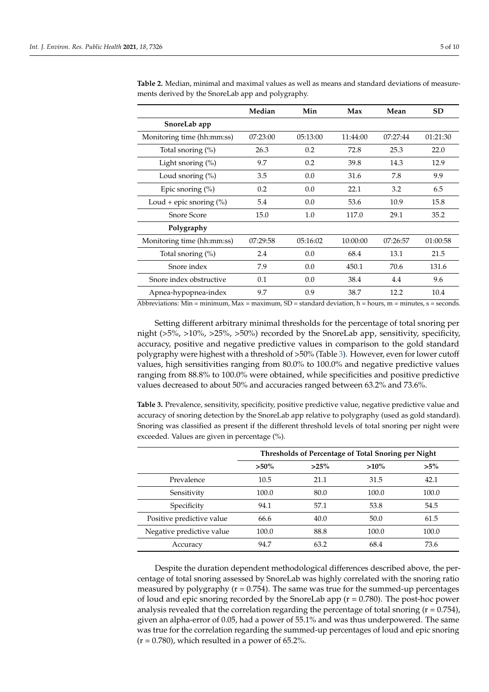|                            | Median   | Min      | Max      | Mean     | <b>SD</b> |
|----------------------------|----------|----------|----------|----------|-----------|
| SnoreLab app               |          |          |          |          |           |
| Monitoring time (hh:mm:ss) | 07:23:00 | 05:13:00 | 11:44:00 | 07:27:44 | 01:21:30  |
| Total snoring $(\%)$       | 26.3     | 0.2      | 72.8     | 25.3     | 22.0      |
| Light snoring (%)          | 9.7      | 0.2      | 39.8     | 14.3     | 12.9      |
| Loud snoring $(\%)$        | 3.5      | 0.0      | 31.6     | 7.8      | 9.9       |
| Epic snoring $(\% )$       | 0.2      | 0.0      | 22.1     | 3.2      | 6.5       |
| Loud + epic snoring $(\%)$ | 5.4      | 0.0      | 53.6     | 10.9     | 15.8      |
| <b>Snore Score</b>         | 15.0     | 1.0      | 117.0    | 29.1     | 35.2      |
| Polygraphy                 |          |          |          |          |           |
| Monitoring time (hh:mm:ss) | 07:29:58 | 05:16:02 | 10:00:00 | 07:26:57 | 01:00:58  |
| Total snoring $(\%)$       | 2.4      | 0.0      | 68.4     | 13.1     | 21.5      |
| Snore index                | 7.9      | 0.0      | 450.1    | 70.6     | 131.6     |
| Snore index obstructive    | 0.1      | 0.0      | 38.4     | 4.4      | 9.6       |
| Apnea-hypopnea-index       | 9.7      | 0.9      | 38.7     | 12.2     | 10.4      |

<span id="page-4-0"></span>**Table 2.** Median, minimal and maximal values as well as means and standard deviations of measurements derived by the SnoreLab app and polygraphy.

Abbreviations: Min = minimum, Max = maximum, SD = standard deviation,  $h = hours$ ,  $m = mintues$ ,  $s = seconds$ .

Setting different arbitrary minimal thresholds for the percentage of total snoring per night (>5%, >10%, >25%, >50%) recorded by the SnoreLab app, sensitivity, specificity, accuracy, positive and negative predictive values in comparison to the gold standard polygraphy were highest with a threshold of >50% (Table [3\)](#page-4-1). However, even for lower cutoff values, high sensitivities ranging from 80.0% to 100.0% and negative predictive values ranging from 88.8% to 100.0% were obtained, while specificities and positive predictive values decreased to about 50% and accuracies ranged between 63.2% and 73.6%.

<span id="page-4-1"></span>**Table 3.** Prevalence, sensitivity, specificity, positive predictive value, negative predictive value and accuracy of snoring detection by the SnoreLab app relative to polygraphy (used as gold standard). Snoring was classified as present if the different threshold levels of total snoring per night were exceeded. Values are given in percentage (%).

|                           | Thresholds of Percentage of Total Snoring per Night |         |         |        |
|---------------------------|-----------------------------------------------------|---------|---------|--------|
|                           | $>50\%$                                             | $>25\%$ | $>10\%$ | $>5\%$ |
| Prevalence                | 10.5                                                | 21.1    | 31.5    | 42.1   |
| Sensitivity               | 100.0                                               | 80.0    | 100.0   | 100.0  |
| Specificity               | 94.1                                                | 57.1    | 53.8    | 54.5   |
| Positive predictive value | 66.6                                                | 40.0    | 50.0    | 61.5   |
| Negative predictive value | 100.0                                               | 88.8    | 100.0   | 100.0  |
| Accuracy                  | 94.7                                                | 63.2    | 68.4    | 73.6   |

Despite the duration dependent methodological differences described above, the percentage of total snoring assessed by SnoreLab was highly correlated with the snoring ratio measured by polygraphy ( $r = 0.754$ ). The same was true for the summed-up percentages of loud and epic snoring recorded by the SnoreLab app  $(r = 0.780)$ . The post-hoc power analysis revealed that the correlation regarding the percentage of total snoring  $(r = 0.754)$ , given an alpha-error of 0.05, had a power of 55.1% and was thus underpowered. The same was true for the correlation regarding the summed-up percentages of loud and epic snoring  $(r = 0.780)$ , which resulted in a power of 65.2%.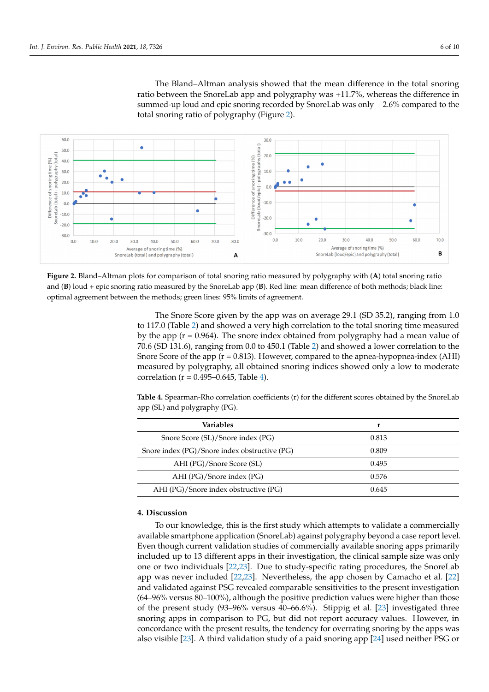The Bland–Altman analysis showed that the mean difference in the total snoring ratio between the SnoreLab app and polygraphy was +11.7%, whereas the difference in summed-up loud and epic snoring recorded by SnoreLab was only -2.6% compared to the total snoring ratio of polygraphy (Figure [2\)](#page-5-0).

<span id="page-5-0"></span>

and  $(B)$  loud + epic snoring ratio measured by the SnoreLab app  $(B)$ . Red line: mean difference of both methods; black line: optimal agreement between the methods; green lines: 95% limits of agreement. **Figure 2.** Bland–Altman plots for comparison of total snoring ratio measured by polygraphy with (**A**) total snoring ratio

to 117.0 (Table 2) and showed a very high correlation to the total snoring time measured by the app ( $r = 0.964$ ). The snore index obtained from polygraphy had a mean value of 70.6 (SD 131.6), ranging fr[om](#page-4-0) 0.0 to 450.1 (Table 2) and showed a lower correlation to the Snore Score of the app  $(r = 0.813)$ . However, compared to the apnea-hypopnea-index (AHI) Snore Score of the app ( $r = 0.813$ ). However, compared to the apnea-hypopnea-index (AHI) measured by polygraphy, all obtained snoring indices showed only a low to moderate correlation ( $r = 0.495-0.645$ , Table 4). The Snore Score given by the app was on average 29.1 (SD 35.2), ranging from 1.0

<span id="page-5-1"></span>app (SL) and polygraphy (PG). **For the different scores obtained by the SnoreLab score Correlation** and  $\alpha$ **Table 4.** Spearman-Rho correlation coefficients (r) for the different scores obtained by the SnoreLab

| Variables                                     | r     |
|-----------------------------------------------|-------|
| Snore Score (SL)/Snore index (PG)             | 0.813 |
| Snore index (PG)/Snore index obstructive (PG) | 0.809 |
| AHI (PG)/Snore Score (SL)                     | 0.495 |
| AHI (PG)/Snore index (PG)                     | 0.576 |
| AHI (PG)/Snore index obstructive (PG)         | 0.645 |

#### **4. Discussion 4. Discussion**

To our knowledge, this is the first study which attempts to validate a commercially To our knowledge, this is the first study which attempts to validate a commercially available smartphone application (SnoreLab) against polygraphy beyond a case report level. Even though current validation studies of commercially available snoring apps primarily included up to 13 different apps in their investigation, the clinical sample size was only one or two individuals [\[22,](#page-8-20)[23\]](#page-8-21). Due to study-specific rating procedures, the SnoreLab app was never included [\[22](#page-8-20)[,23\]](#page-8-21). Nevertheless, the app chosen by Camacho et al. [\[22\]](#page-8-20) and validated against PSG revealed comparable sensitivities to the present investigation  $(64–96\%$  versus 80–100%), although the positive prediction values were higher than those of the present study  $(93-96\%$  versus 40–66.6%). Stippig et al. [\[23\]](#page-8-21) investigated three snoring apps in comparison to PG, but did not report accuracy values. However, in concordance with the present results, the tendency for overrating snoring by the apps was also visible [\[23\]](#page-8-21). A third validation study of a paid snoring app [\[24\]](#page-8-22) used neither PSG or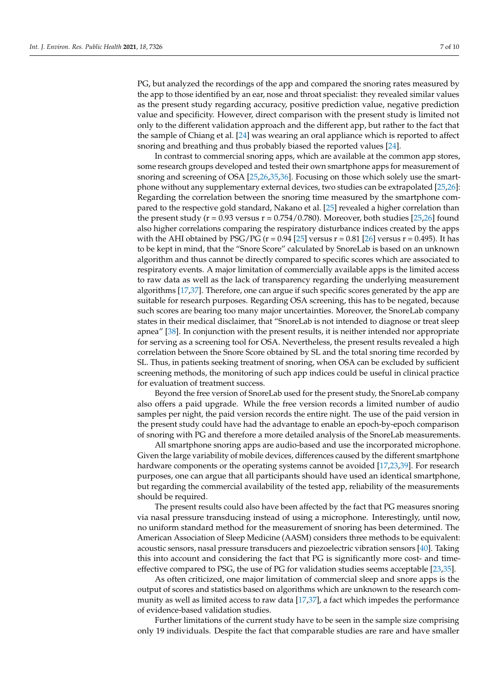PG, but analyzed the recordings of the app and compared the snoring rates measured by the app to those identified by an ear, nose and throat specialist: they revealed similar values as the present study regarding accuracy, positive prediction value, negative prediction value and specificity. However, direct comparison with the present study is limited not only to the different validation approach and the different app, but rather to the fact that the sample of Chiang et al. [\[24\]](#page-8-22) was wearing an oral appliance which is reported to affect snoring and breathing and thus probably biased the reported values [\[24\]](#page-8-22).

In contrast to commercial snoring apps, which are available at the common app stores, some research groups developed and tested their own smartphone apps for measurement of snoring and screening of OSA [\[25](#page-8-23)[,26](#page-8-24)[,35](#page-9-4)[,36\]](#page-9-5). Focusing on those which solely use the smartphone without any supplementary external devices, two studies can be extrapolated [\[25](#page-8-23)[,26\]](#page-8-24): Regarding the correlation between the snoring time measured by the smartphone compared to the respective gold standard, Nakano et al. [\[25\]](#page-8-23) revealed a higher correlation than the present study ( $r = 0.93$  versus  $r = 0.754/0.780$ ). Moreover, both studies [\[25,](#page-8-23)[26\]](#page-8-24) found also higher correlations comparing the respiratory disturbance indices created by the apps with the AHI obtained by PSG/PG ( $r = 0.94$  [\[25\]](#page-8-23) versus  $r = 0.81$  [\[26\]](#page-8-24) versus  $r = 0.495$ ). It has to be kept in mind, that the "Snore Score" calculated by SnoreLab is based on an unknown algorithm and thus cannot be directly compared to specific scores which are associated to respiratory events. A major limitation of commercially available apps is the limited access to raw data as well as the lack of transparency regarding the underlying measurement algorithms [\[17,](#page-8-15)[37\]](#page-9-6). Therefore, one can argue if such specific scores generated by the app are suitable for research purposes. Regarding OSA screening, this has to be negated, because such scores are bearing too many major uncertainties. Moreover, the SnoreLab company states in their medical disclaimer, that "SnoreLab is not intended to diagnose or treat sleep apnea" [\[38\]](#page-9-7). In conjunction with the present results, it is neither intended nor appropriate for serving as a screening tool for OSA. Nevertheless, the present results revealed a high correlation between the Snore Score obtained by SL and the total snoring time recorded by SL. Thus, in patients seeking treatment of snoring, when OSA can be excluded by sufficient screening methods, the monitoring of such app indices could be useful in clinical practice for evaluation of treatment success.

Beyond the free version of SnoreLab used for the present study, the SnoreLab company also offers a paid upgrade. While the free version records a limited number of audio samples per night, the paid version records the entire night. The use of the paid version in the present study could have had the advantage to enable an epoch-by-epoch comparison of snoring with PG and therefore a more detailed analysis of the SnoreLab measurements.

All smartphone snoring apps are audio-based and use the incorporated microphone. Given the large variability of mobile devices, differences caused by the different smartphone hardware components or the operating systems cannot be avoided [\[17](#page-8-15)[,23](#page-8-21)[,39\]](#page-9-8). For research purposes, one can argue that all participants should have used an identical smartphone, but regarding the commercial availability of the tested app, reliability of the measurements should be required.

The present results could also have been affected by the fact that PG measures snoring via nasal pressure transducing instead of using a microphone. Interestingly, until now, no uniform standard method for the measurement of snoring has been determined. The American Association of Sleep Medicine (AASM) considers three methods to be equivalent: acoustic sensors, nasal pressure transducers and piezoelectric vibration sensors [\[40\]](#page-9-9). Taking this into account and considering the fact that PG is significantly more cost- and timeeffective compared to PSG, the use of PG for validation studies seems acceptable [\[23,](#page-8-21)[35\]](#page-9-4).

As often criticized, one major limitation of commercial sleep and snore apps is the output of scores and statistics based on algorithms which are unknown to the research community as well as limited access to raw data [\[17](#page-8-15)[,37\]](#page-9-6), a fact which impedes the performance of evidence-based validation studies.

Further limitations of the current study have to be seen in the sample size comprising only 19 individuals. Despite the fact that comparable studies are rare and have smaller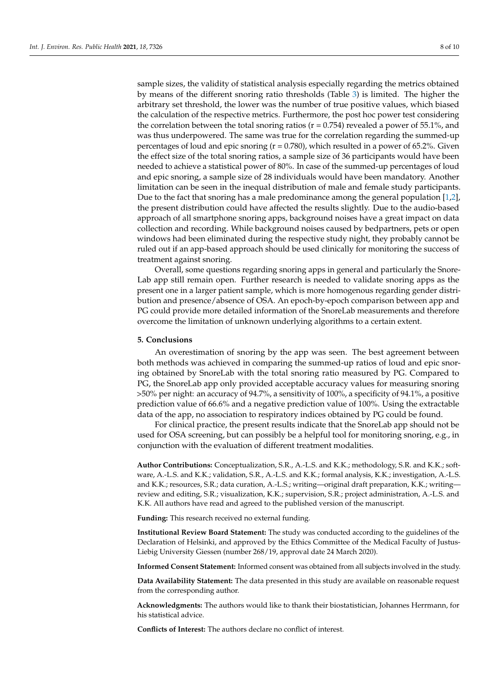sample sizes, the validity of statistical analysis especially regarding the metrics obtained by means of the different snoring ratio thresholds (Table [3\)](#page-4-1) is limited. The higher the arbitrary set threshold, the lower was the number of true positive values, which biased the calculation of the respective metrics. Furthermore, the post hoc power test considering the correlation between the total snoring ratios ( $r = 0.754$ ) revealed a power of 55.1%, and was thus underpowered. The same was true for the correlation regarding the summed-up percentages of loud and epic snoring ( $r = 0.780$ ), which resulted in a power of 65.2%. Given the effect size of the total snoring ratios, a sample size of 36 participants would have been needed to achieve a statistical power of 80%. In case of the summed-up percentages of loud and epic snoring, a sample size of 28 individuals would have been mandatory. Another limitation can be seen in the inequal distribution of male and female study participants. Due to the fact that snoring has a male predominance among the general population [\[1](#page-8-0)[,2\]](#page-8-1), the present distribution could have affected the results slightly. Due to the audio-based approach of all smartphone snoring apps, background noises have a great impact on data collection and recording. While background noises caused by bedpartners, pets or open windows had been eliminated during the respective study night, they probably cannot be ruled out if an app-based approach should be used clinically for monitoring the success of treatment against snoring.

Overall, some questions regarding snoring apps in general and particularly the Snore-Lab app still remain open. Further research is needed to validate snoring apps as the present one in a larger patient sample, which is more homogenous regarding gender distribution and presence/absence of OSA. An epoch-by-epoch comparison between app and PG could provide more detailed information of the SnoreLab measurements and therefore overcome the limitation of unknown underlying algorithms to a certain extent.

### **5. Conclusions**

An overestimation of snoring by the app was seen. The best agreement between both methods was achieved in comparing the summed-up ratios of loud and epic snoring obtained by SnoreLab with the total snoring ratio measured by PG. Compared to PG, the SnoreLab app only provided acceptable accuracy values for measuring snoring >50% per night: an accuracy of 94.7%, a sensitivity of 100%, a specificity of 94.1%, a positive prediction value of 66.6% and a negative prediction value of 100%. Using the extractable data of the app, no association to respiratory indices obtained by PG could be found.

For clinical practice, the present results indicate that the SnoreLab app should not be used for OSA screening, but can possibly be a helpful tool for monitoring snoring, e.g., in conjunction with the evaluation of different treatment modalities.

**Author Contributions:** Conceptualization, S.R., A.-L.S. and K.K.; methodology, S.R. and K.K.; software, A.-L.S. and K.K.; validation, S.R., A.-L.S. and K.K.; formal analysis, K.K.; investigation, A.-L.S. and K.K.; resources, S.R.; data curation, A.-L.S.; writing—original draft preparation, K.K.; writing review and editing, S.R.; visualization, K.K.; supervision, S.R.; project administration, A.-L.S. and K.K. All authors have read and agreed to the published version of the manuscript.

**Funding:** This research received no external funding.

**Institutional Review Board Statement:** The study was conducted according to the guidelines of the Declaration of Helsinki, and approved by the Ethics Committee of the Medical Faculty of Justus-Liebig University Giessen (number 268/19, approval date 24 March 2020).

**Informed Consent Statement:** Informed consent was obtained from all subjects involved in the study.

**Data Availability Statement:** The data presented in this study are available on reasonable request from the corresponding author.

**Acknowledgments:** The authors would like to thank their biostatistician, Johannes Herrmann, for his statistical advice.

**Conflicts of Interest:** The authors declare no conflict of interest.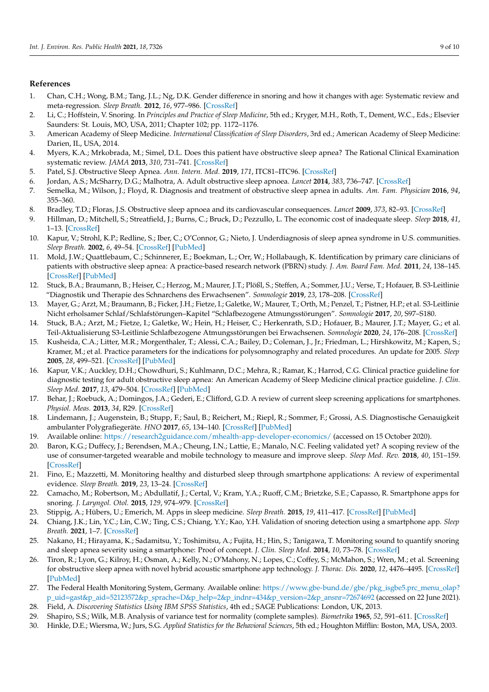### **References**

- <span id="page-8-0"></span>1. Chan, C.H.; Wong, B.M.; Tang, J.L.; Ng, D.K. Gender difference in snoring and how it changes with age: Systematic review and meta-regression. *Sleep Breath.* **2012**, *16*, 977–986. [\[CrossRef\]](http://doi.org/10.1007/s11325-011-0596-8)
- <span id="page-8-1"></span>2. Li, C.; Hoffstein, V. Snoring. In *Principles and Practice of Sleep Medicine*, 5th ed.; Kryger, M.H., Roth, T., Dement, W.C., Eds.; Elsevier Saunders: St. Louis, MO, USA, 2011; Chapter 102; pp. 1172–1176.
- <span id="page-8-2"></span>3. American Academy of Sleep Medicine. *International Classification of Sleep Disorders*, 3rd ed.; American Academy of Sleep Medicine: Darien, IL, USA, 2014.
- <span id="page-8-3"></span>4. Myers, K.A.; Mrkobrada, M.; Simel, D.L. Does this patient have obstructive sleep apnea? The Rational Clinical Examination systematic review. *JAMA* **2013**, *310*, 731–741. [\[CrossRef\]](http://doi.org/10.1001/jama.2013.276185)
- <span id="page-8-4"></span>5. Patel, S.J. Obstructive Sleep Apnea. *Ann. Intern. Med.* **2019**, *171*, ITC81–ITC96. [\[CrossRef\]](http://doi.org/10.7326/AITC201912030)
- <span id="page-8-5"></span>6. Jordan, A.S.; McSharry, D.G.; Malhotra, A. Adult obstructive sleep apnoea. *Lancet* **2014**, *383*, 736–747. [\[CrossRef\]](http://doi.org/10.1016/S0140-6736(13)60734-5)
- <span id="page-8-25"></span>7. Semelka, M.; Wilson, J.; Floyd, R. Diagnosis and treatment of obstructive sleep apnea in adults. *Am. Fam. Physician* **2016**, *94*, 355–360.
- <span id="page-8-6"></span>8. Bradley, T.D.; Floras, J.S. Obstructive sleep apnoea and its cardiovascular consequences. *Lancet* **2009**, *373*, 82–93. [\[CrossRef\]](http://doi.org/10.1016/S0140-6736(08)61622-0)
- <span id="page-8-7"></span>9. Hillman, D.; Mitchell, S.; Streatfield, J.; Burns, C.; Bruck, D.; Pezzullo, L. The economic cost of inadequate sleep. *Sleep* **2018**, *41*, 1–13. [\[CrossRef\]](http://doi.org/10.1093/sleep/zsy083)
- <span id="page-8-8"></span>10. Kapur, V.; Strohl, K.P.; Redline, S.; Iber, C.; O'Connor, G.; Nieto, J. Underdiagnosis of sleep apnea syndrome in U.S. communities. *Sleep Breath.* **2002**, *6*, 49–54. [\[CrossRef\]](http://doi.org/10.1055/s-2002-32318) [\[PubMed\]](http://www.ncbi.nlm.nih.gov/pubmed/12075479)
- <span id="page-8-9"></span>11. Mold, J.W.; Quattlebaum, C.; Schinnerer, E.; Boekman, L.; Orr, W.; Hollabaugh, K. Identification by primary care clinicians of patients with obstructive sleep apnea: A practice-based research network (PBRN) study. *J. Am. Board Fam. Med.* **2011**, *24*, 138–145. [\[CrossRef\]](http://doi.org/10.3122/jabfm.2011.02.100095) [\[PubMed\]](http://www.ncbi.nlm.nih.gov/pubmed/21383212)
- <span id="page-8-10"></span>12. Stuck, B.A.; Braumann, B.; Heiser, C.; Herzog, M.; Maurer, J.T.; Plößl, S.; Steffen, A.; Sommer, J.U.; Verse, T.; Hofauer, B. S3-Leitlinie "Diagnostik und Therapie des Schnarchens des Erwachsenen". *Somnologie* **2019**, *23*, 178–208. [\[CrossRef\]](http://doi.org/10.1007/s11818-019-0211-y)
- <span id="page-8-11"></span>13. Mayer, G.; Arzt, M.; Braumann, B.; Ficker, J.H.; Fietze, I.; Galetke, W.; Maurer, T.; Orth, M.; Penzel, T.; Pistner, H.P.; et al. S3-Leitlinie Nicht erholsamer Schlaf/Schlafstörungen–Kapitel "Schlafbezogene Atmungsstörungen". *Somnologie* **2017**, *20*, S97–S180.
- <span id="page-8-12"></span>14. Stuck, B.A.; Arzt, M.; Fietze, I.; Galetke, W.; Hein, H.; Heiser, C.; Herkenrath, S.D.; Hofauer, B.; Maurer, J.T.; Mayer, G.; et al. Teil-Aktualisierung S3-Leitlinie Schlafbezogene Atmungsstörungen bei Erwachsenen. *Somnologie* **2020**, *24*, 176–208. [\[CrossRef\]](http://doi.org/10.1007/s11818-020-00257-6)
- <span id="page-8-13"></span>15. Kusheida, C.A.; Litter, M.R.; Morgenthaler, T.; Alessi, C.A.; Bailey, D.; Coleman, J., Jr.; Friedman, L.; Hirshkowitz, M.; Kapen, S.; Kramer, M.; et al. Practice parameters for the indications for polysomnography and related procedures. An update for 2005. *Sleep* **2005**, *28*, 499–521. [\[CrossRef\]](http://doi.org/10.1093/sleep/28.4.499) [\[PubMed\]](http://www.ncbi.nlm.nih.gov/pubmed/16171294)
- <span id="page-8-14"></span>16. Kapur, V.K.; Auckley, D.H.; Chowdhuri, S.; Kuhlmann, D.C.; Mehra, R.; Ramar, K.; Harrod, C.G. Clinical practice guideline for diagnostic testing for adult obstructive sleep apnea: An American Academy of Sleep Medicine clinical practice guideline. *J. Clin. Sleep Med.* **2017**, *13*, 479–504. [\[CrossRef\]](http://doi.org/10.5664/jcsm.6506) [\[PubMed\]](http://www.ncbi.nlm.nih.gov/pubmed/28162150)
- <span id="page-8-15"></span>17. Behar, J.; Roebuck, A.; Domingos, J.A.; Gederi, E.; Clifford, G.D. A review of current sleep screening applications for smartphones. *Physiol. Meas.* **2013**, *34*, R29. [\[CrossRef\]](http://doi.org/10.1088/0967-3334/34/7/R29)
- <span id="page-8-16"></span>18. Lindemann, J.; Augenstein, B.; Stupp, F.; Saul, B.; Reichert, M.; Riepl, R.; Sommer, F.; Grossi, A.S. Diagnostische Genauigkeit ambulanter Polygrafiegeräte. *HNO* **2017**, *65*, 134–140. [\[CrossRef\]](http://doi.org/10.1007/s00106-016-0308-6) [\[PubMed\]](http://www.ncbi.nlm.nih.gov/pubmed/28078407)
- <span id="page-8-17"></span>19. Available online: <https://research2guidance.com/mhealth-app-developer-economics/> (accessed on 15 October 2020).
- <span id="page-8-18"></span>20. Baron, K.G.; Duffecy, J.; Berendsen, M.A.; Cheung, I.N.; Lattie, E.; Manalo, N.C. Feeling validated yet? A scoping review of the use of consumer-targeted wearable and mobile technology to measure and improve sleep. *Sleep Med. Rev.* **2018**, *40*, 151–159. [\[CrossRef\]](http://doi.org/10.1016/j.smrv.2017.12.002)
- <span id="page-8-19"></span>21. Fino, E.; Mazzetti, M. Monitoring healthy and disturbed sleep through smartphone applications: A review of experimental evidence. *Sleep Breath.* **2019**, *23*, 13–24. [\[CrossRef\]](http://doi.org/10.1007/s11325-018-1661-3)
- <span id="page-8-20"></span>22. Camacho, M.; Robertson, M.; Abdullatif, J.; Certal, V.; Kram, Y.A.; Ruoff, C.M.; Brietzke, S.E.; Capasso, R. Smartphone apps for snoring. *J. Laryngol. Otol.* **2015**, *129*, 974–979. [\[CrossRef\]](http://doi.org/10.1017/S0022215115001978)
- <span id="page-8-21"></span>23. Stippig, A.; Hübers, U.; Emerich, M. Apps in sleep medicine. *Sleep Breath.* **2015**, *19*, 411–417. [\[CrossRef\]](http://doi.org/10.1007/s11325-014-1009-6) [\[PubMed\]](http://www.ncbi.nlm.nih.gov/pubmed/24888483)
- <span id="page-8-22"></span>24. Chiang, J.K.; Lin, Y.C.; Lin, C.W.; Ting, C.S.; Chiang, Y.Y.; Kao, Y.H. Validation of snoring detection using a smartphone app. *Sleep Breath.* **2021**, 1–7. [\[CrossRef\]](http://doi.org/10.1007/s11325-021-02359-3)
- <span id="page-8-23"></span>25. Nakano, H.; Hirayama, K.; Sadamitsu, Y.; Toshimitsu, A.; Fujita, H.; Hin, S.; Tanigawa, T. Monitoring sound to quantify snoring and sleep apnea severity using a smartphone: Proof of concept. *J. Clin. Sleep Med.* **2014**, *10*, 73–78. [\[CrossRef\]](http://doi.org/10.5664/jcsm.3364)
- <span id="page-8-24"></span>26. Tiron, R.; Lyon, G.; Kilroy, H.; Osman, A.; Kelly, N.; O'Mahony, N.; Lopes, C.; Coffey, S.; McMahon, S.; Wren, M.; et al. Screening for obstructive sleep apnea with novel hybrid acoustic smartphone app technology. *J. Thorac. Dis.* **2020**, *12*, 4476–4495. [\[CrossRef\]](http://doi.org/10.21037/jtd-20-804) [\[PubMed\]](http://www.ncbi.nlm.nih.gov/pubmed/32944361)
- <span id="page-8-26"></span>27. The Federal Health Monitoring System, Germany. Available online: [https://www.gbe-bund.de/gbe/pkg\\_isgbe5.prc\\_menu\\_olap?](https://www.gbe-bund.de/gbe/pkg_isgbe5.prc_menu_olap?p_uid=gast&p_aid=52123572&p_sprache=D&p_help=2&p_indnr=434&p_version=2&p_ansnr=72674692) [p\\_uid=gast&p\\_aid=52123572&p\\_sprache=D&p\\_help=2&p\\_indnr=434&p\\_version=2&p\\_ansnr=72674692](https://www.gbe-bund.de/gbe/pkg_isgbe5.prc_menu_olap?p_uid=gast&p_aid=52123572&p_sprache=D&p_help=2&p_indnr=434&p_version=2&p_ansnr=72674692) (accessed on 22 June 2021).
- <span id="page-8-27"></span>28. Field, A. *Discovering Statistics Using IBM SPSS Statistics*, 4th ed.; SAGE Publications: London, UK, 2013.
- <span id="page-8-28"></span>29. Shapiro, S.S.; Wilk, M.B. Analysis of variance test for normality (complete samples). *Biometrika* **1965**, *52*, 591–611. [\[CrossRef\]](http://doi.org/10.1093/biomet/52.3-4.591)
- <span id="page-8-29"></span>30. Hinkle, D.E.; Wiersma, W.; Jurs, S.G. *Applied Statistics for the Behavioral Sciences*, 5th ed.; Houghton Mifflin: Boston, MA, USA, 2003.